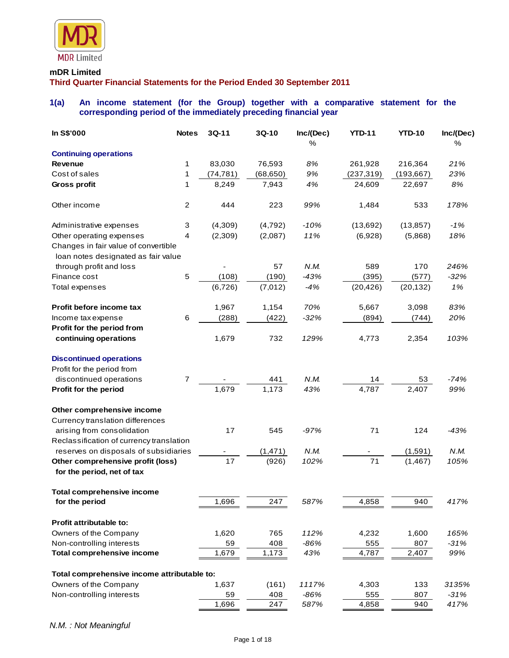

#### **mDR Limited**

**Third Quarter Financial Statements for the Period Ended 30 September 2011**

# **1(a) An income statement (for the Group) together with a comparative statement for the corresponding period of the immediately preceding financial year**

| In S\$'000                                                      | <b>Notes</b>   | $3Q-11$   | $3Q-10$   | Inc/(Dec)<br>% | <b>YTD-11</b> | <b>YTD-10</b> | Inc/(Dec)<br>% |
|-----------------------------------------------------------------|----------------|-----------|-----------|----------------|---------------|---------------|----------------|
| <b>Continuing operations</b>                                    |                |           |           |                |               |               |                |
| Revenue                                                         | 1              | 83,030    | 76,593    | 8%             | 261,928       | 216,364       | 21%            |
| Cost of sales                                                   | 1              | (74, 781) | (68, 650) | 9%             | (237, 319)    | (193, 667)    | 23%            |
| Gross profit                                                    | 1              | 8,249     | 7,943     | 4%             | 24,609        | 22,697        | 8%             |
| Other income                                                    | $\overline{2}$ | 444       | 223       | 99%            | 1,484         | 533           | 178%           |
| Administrative expenses                                         | 3              | (4,309)   | (4, 792)  | $-10%$         | (13,692)      | (13, 857)     | $-1%$          |
| Other operating expenses                                        | 4              | (2,309)   | (2,087)   | 11%            | (6,928)       | (5,868)       | 18%            |
| Changes in fair value of convertible                            |                |           |           |                |               |               |                |
| loan notes designated as fair value                             |                |           |           |                |               |               |                |
| through profit and loss                                         |                |           | 57        | N.M.           | 589           | 170           | 246%           |
| Finance cost                                                    | 5              | (108)     | (190)     | $-43%$         | (395)         | (577)         | $-32%$         |
| Total expenses                                                  |                | (6, 726)  | (7,012)   | $-4%$          | (20, 426)     | (20, 132)     | 1%             |
| Profit before income tax                                        |                | 1,967     | 1,154     | 70%            | 5,667         | 3,098         | 83%            |
| Income tax expense                                              | 6              | (288)     | (422)     | $-32%$         | (894)         | (744)         | 20%            |
| Profit for the period from<br>continuing operations             |                | 1,679     | 732       | 129%           | 4,773         | 2,354         | 103%           |
| <b>Discontinued operations</b>                                  |                |           |           |                |               |               |                |
| Profit for the period from                                      |                |           |           |                |               |               |                |
| discontinued operations                                         | $\overline{7}$ |           | 441       | N.M.           | 14            | 53            | $-74%$         |
| Profit for the period                                           |                | 1,679     | 1,173     | 43%            | 4,787         | 2,407         | 99%            |
| Other comprehensive income                                      |                |           |           |                |               |               |                |
| Currency translation differences                                |                |           |           |                |               |               |                |
| arising from consolidation                                      |                | 17        | 545       | $-97%$         | 71            | 124           | -43%           |
| Reclassification of currency translation                        |                |           |           |                |               |               |                |
| reserves on disposals of subsidiaries                           |                |           | (1, 471)  | N.M.           |               | (1,591)       | N.M.           |
| Other comprehensive profit (loss)<br>for the period, net of tax |                | 17        | (926)     | 102%           | 71            | (1, 467)      | 105%           |
| <b>Total comprehensive income</b>                               |                |           |           |                |               |               |                |
| for the period                                                  |                | 1,696     | 247       | 587%           | 4,858         | 940           | 417%           |
| Profit attributable to:                                         |                |           |           |                |               |               |                |
| Owners of the Company                                           |                | 1,620     | 765       | 112%           | 4,232         | 1,600         | 165%           |
| Non-controlling interests                                       |                | 59        | 408       | $-86%$         | 555           | 807           | $-31%$         |
| <b>Total comprehensive income</b>                               |                | 1,679     | 1,173     | 43%            | 4,787         | 2,407         | 99%            |
| Total comprehensive income attributable to:                     |                |           |           |                |               |               |                |
| Owners of the Company                                           |                | 1,637     | (161)     | 1117%          | 4,303         | 133           | 3135%          |
| Non-controlling interests                                       |                | 59        | 408       | $-86%$         | 555           | 807           | $-31%$         |
|                                                                 |                | 1,696     | 247       | 587%           | 4,858         | 940           | 417%           |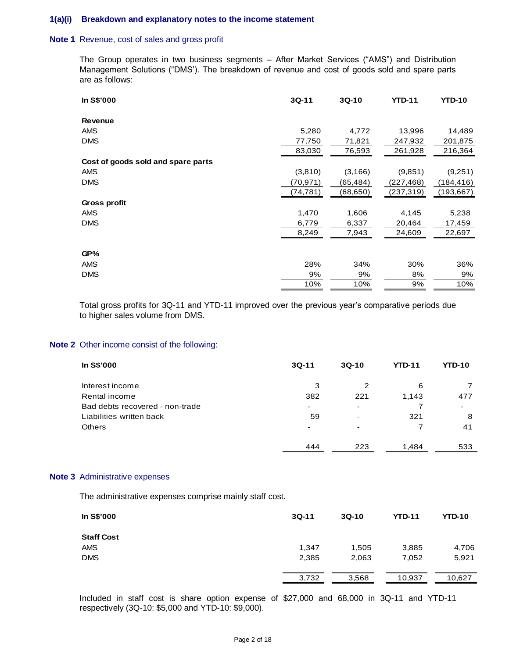# **1(a)(i) Breakdown and explanatory notes to the income statement**

## **Note 1** Revenue, cost of sales and gross profit

The Group operates in two business segments – After Market Services ("AMS") and Distribution Management Solutions ("DMS'). The breakdown of revenue and cost of goods sold and spare parts are as follows:

| In S\$'000                         | $3Q-11$   | $3Q-10$   | <b>YTD-11</b> | <b>YTD-10</b> |
|------------------------------------|-----------|-----------|---------------|---------------|
| <b>Revenue</b>                     |           |           |               |               |
| <b>AMS</b>                         | 5,280     | 4,772     | 13,996        | 14,489        |
| <b>DMS</b>                         | 77,750    | 71,821    | 247,932       | 201,875       |
|                                    | 83,030    | 76,593    | 261,928       | 216,364       |
| Cost of goods sold and spare parts |           |           |               |               |
| <b>AMS</b>                         | (3,810)   | (3, 166)  | (9,851)       | (9,251)       |
| <b>DMS</b>                         | (70, 971) | (65,484)  | (227, 468)    | (184, 416)    |
|                                    | (74, 781) | (68, 650) | (237, 319)    | (193, 667)    |
| Gross profit                       |           |           |               |               |
| <b>AMS</b>                         | 1,470     | 1,606     | 4,145         | 5,238         |
| <b>DMS</b>                         | 6,779     | 6,337     | 20,464        | 17,459        |
|                                    | 8,249     | 7,943     | 24,609        | 22,697        |
| GP%                                |           |           |               |               |
| <b>AMS</b>                         | 28%       | 34%       | 30%           | 36%           |
| <b>DMS</b>                         | 9%        | 9%        | 8%            | 9%            |
|                                    | 10%       | 10%       | 9%            | 10%           |

Total gross profits for 3Q-11 and YTD-11 improved over the previous year's comparative periods due to higher sales volume from DMS.

#### **Note 2** Other income consist of the following:

| In S\$'000                      | $3Q-11$ | $3Q-10$ | <b>YTD-11</b> | <b>YTD-10</b> |
|---------------------------------|---------|---------|---------------|---------------|
| Interest income                 | 3       | 2       | 6             |               |
| Rental income                   | 382     | 221     | 1,143         | 477           |
| Bad debts recovered - non-trade | ۰       | -       | 7             | ۰             |
| Liabilities written back        | 59      | -       | 321           | 8             |
| <b>Others</b>                   | ٠       |         |               | 41            |
|                                 |         |         |               |               |
|                                 | 444     | 223     | 1.484         | 533           |

#### **Note 3** Administrative expenses

The administrative expenses comprise mainly staff cost.

| In S\$'000        | $3Q-11$ | $3Q-10$ | <b>YTD-11</b> | <b>YTD-10</b> |
|-------------------|---------|---------|---------------|---------------|
| <b>Staff Cost</b> |         |         |               |               |
| AMS               | 1,347   | 1,505   | 3,885         | 4,706         |
| <b>DMS</b>        | 2,385   | 2,063   | 7,052         | 5,921         |
|                   | 3,732   | 3,568   | 10,937        | 10,627        |

Included in staff cost is share option expense of \$27,000 and 68,000 in 3Q-11 and YTD-11 respectively (3Q-10: \$5,000 and YTD-10: \$9,000).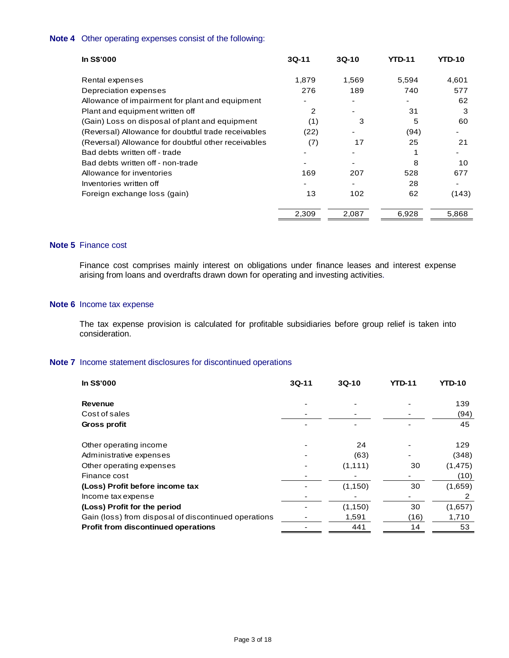# **Note 4** Other operating expenses consist of the following:

| <b>In S\$'000</b>                                   | $3Q-11$ | $3Q-10$                  | <b>YTD-11</b> | <b>YTD-10</b> |
|-----------------------------------------------------|---------|--------------------------|---------------|---------------|
| Rental expenses                                     | 1,879   | 1,569                    | 5,594         | 4,601         |
| Depreciation expenses                               | 276     | 189                      | 740           | 577           |
| Allowance of impairment for plant and equipment     |         |                          |               | 62            |
| Plant and equipment written off                     | 2       | ٠                        | 31            | 3             |
| (Gain) Loss on disposal of plant and equipment      | (1)     | 3                        | 5             | 60            |
| (Reversal) Allowance for doubtful trade receivables | (22)    |                          | (94)          |               |
| (Reversal) Allowance for doubtful other receivables | (7)     | 17                       | 25            | 21            |
| Bad debts written off - trade                       |         |                          |               |               |
| Bad debts written off - non-trade                   |         |                          | 8             | 10            |
| Allowance for inventories                           | 169     | 207                      | 528           | 677           |
| Inventories written off                             |         | $\overline{\phantom{0}}$ | 28            |               |
| Foreign exchange loss (gain)                        | 13      | 102                      | 62            | (143)         |
|                                                     | 2,309   | 2,087                    | 6,928         | 5,868         |

# **Note 5** Finance cost

Finance cost comprises mainly interest on obligations under finance leases and interest expense arising from loans and overdrafts drawn down for operating and investing activities.

#### **Note 6** Income tax expense

The tax expense provision is calculated for profitable subsidiaries before group relief is taken into consideration.

# **Note 7** Income statement disclosures for discontinued operations

| In S\$'000                                           | $3Q-11$ | $3Q-10$  | YTD-11 | <b>YTD-10</b> |
|------------------------------------------------------|---------|----------|--------|---------------|
| <b>Revenue</b>                                       |         |          |        | 139           |
| Cost of sales                                        |         |          |        | (94)          |
| Gross profit                                         |         |          |        | 45            |
| Other operating income                               |         | 24       |        | 129           |
| Administrative expenses                              |         | (63)     |        | (348)         |
| Other operating expenses                             |         | (1, 111) | 30     | (1, 475)      |
| Finance cost                                         |         |          |        | (10)          |
| (Loss) Profit before income tax                      |         | (1, 150) | 30     | (1,659)       |
| Income tax expense                                   |         |          |        | 2             |
| (Loss) Profit for the period                         |         | (1, 150) | 30     | (1,657)       |
| Gain (loss) from disposal of discontinued operations |         | 1,591    | (16)   | 1,710         |
| <b>Profit from discontinued operations</b>           |         | 441      | 14     | 53            |
|                                                      |         |          |        |               |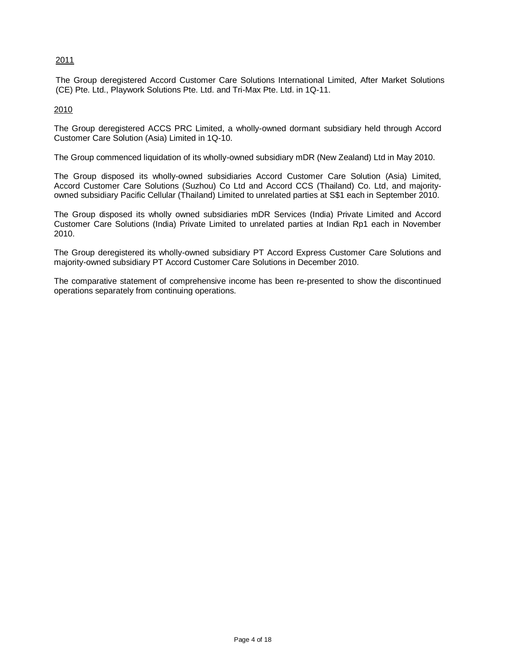# 2011

The Group deregistered Accord Customer Care Solutions International Limited, After Market Solutions (CE) Pte. Ltd., Playwork Solutions Pte. Ltd. and Tri-Max Pte. Ltd. in 1Q-11.

2010

The Group deregistered ACCS PRC Limited, a wholly-owned dormant subsidiary held through Accord Customer Care Solution (Asia) Limited in 1Q-10.

The Group commenced liquidation of its wholly-owned subsidiary mDR (New Zealand) Ltd in May 2010.

The Group disposed its wholly-owned subsidiaries Accord Customer Care Solution (Asia) Limited, Accord Customer Care Solutions (Suzhou) Co Ltd and Accord CCS (Thailand) Co. Ltd, and majorityowned subsidiary Pacific Cellular (Thailand) Limited to unrelated parties at S\$1 each in September 2010.

The Group disposed its wholly owned subsidiaries mDR Services (India) Private Limited and Accord Customer Care Solutions (India) Private Limited to unrelated parties at Indian Rp1 each in November 2010.

The Group deregistered its wholly-owned subsidiary PT Accord Express Customer Care Solutions and majority-owned subsidiary PT Accord Customer Care Solutions in December 2010.

The comparative statement of comprehensive income has been re-presented to show the discontinued operations separately from continuing operations.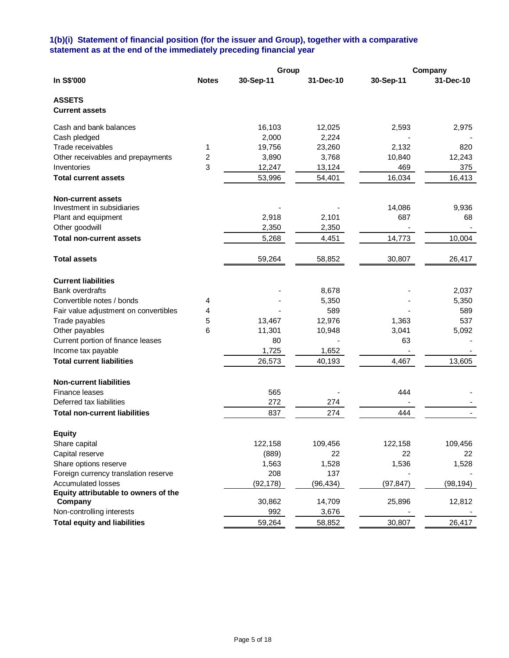# **1(b)(i) Statement of financial position (for the issuer and Group), together with a comparative statement as at the end of the immediately preceding financial year**

|                                        | Group        |           |           |           | Company   |
|----------------------------------------|--------------|-----------|-----------|-----------|-----------|
| In S\$'000                             | <b>Notes</b> | 30-Sep-11 | 31-Dec-10 | 30-Sep-11 | 31-Dec-10 |
| <b>ASSETS</b><br><b>Current assets</b> |              |           |           |           |           |
| Cash and bank balances                 |              | 16,103    | 12,025    | 2,593     | 2,975     |
| Cash pledged                           |              | 2,000     | 2,224     |           |           |
| Trade receivables                      | 1            | 19,756    | 23,260    | 2,132     | 820       |
| Other receivables and prepayments      | 2            | 3,890     | 3,768     | 10,840    | 12,243    |
| Inventories                            | 3            | 12,247    | 13,124    | 469       | 375       |
| <b>Total current assets</b>            |              | 53,996    | 54,401    | 16,034    | 16,413    |
| <b>Non-current assets</b>              |              |           |           |           |           |
| Investment in subsidiaries             |              |           |           | 14,086    | 9,936     |
| Plant and equipment                    |              | 2,918     | 2,101     | 687       | 68        |
| Other goodwill                         |              | 2,350     | 2,350     |           |           |
| <b>Total non-current assets</b>        |              | 5,268     | 4,451     | 14,773    | 10,004    |
| <b>Total assets</b>                    |              | 59,264    | 58,852    | 30,807    | 26,417    |
| <b>Current liabilities</b>             |              |           |           |           |           |
| <b>Bank overdrafts</b>                 |              |           | 8,678     |           | 2,037     |
| Convertible notes / bonds              | 4            |           | 5,350     |           | 5,350     |
| Fair value adjustment on convertibles  | 4            |           | 589       |           | 589       |
| Trade payables                         | 5            | 13,467    | 12,976    | 1,363     | 537       |
| Other payables                         | 6            | 11,301    | 10,948    | 3,041     | 5,092     |
| Current portion of finance leases      |              | 80        |           | 63        |           |
| Income tax payable                     |              | 1,725     | 1,652     |           |           |
| <b>Total current liabilities</b>       |              | 26,573    | 40,193    | 4,467     | 13,605    |
| <b>Non-current liabilities</b>         |              |           |           |           |           |
| Finance leases                         |              | 565       |           | 444       |           |
| Deferred tax liabilities               |              | 272       | 274       |           |           |
| <b>Total non-current liabilities</b>   |              | 837       | 274       | 444       |           |
| <b>Equity</b>                          |              |           |           |           |           |
| Share capital                          |              | 122,158   | 109,456   | 122,158   | 109,456   |
| Capital reserve                        |              | (889)     | 22        | 22        | 22        |
| Share options reserve                  |              | 1,563     | 1,528     | 1,536     | 1,528     |
| Foreign currency translation reserve   |              | 208       | 137       |           |           |
| <b>Accumulated losses</b>              |              | (92, 178) | (96, 434) | (97, 847) | (98, 194) |
| Equity attributable to owners of the   |              |           |           |           |           |
| Company                                |              | 30,862    | 14,709    | 25,896    | 12,812    |
| Non-controlling interests              |              | 992       | 3,676     |           |           |
| <b>Total equity and liabilities</b>    |              | 59,264    | 58,852    | 30,807    | 26,417    |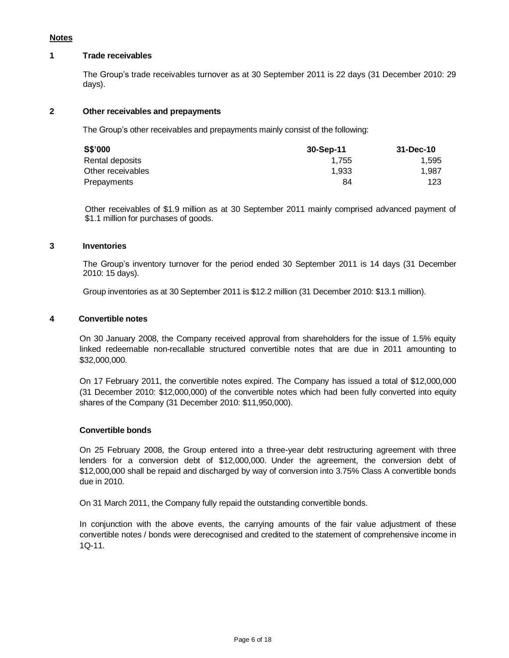# **Notes**

# **1 Trade receivables**

The Group's trade receivables turnover as at 30 September 2011 is 22 days (31 December 2010: 29 days).

# **2 Other receivables and prepayments**

The Group's other receivables and prepayments mainly consist of the following:

| S\$'000           | 30-Sep-11 | 31-Dec-10 |
|-------------------|-----------|-----------|
| Rental deposits   | 1.755     | 1.595     |
| Other receivables | 1.933     | 1.987     |
| Prepayments       | 84        | 123       |

Other receivables of \$1.9 million as at 30 September 2011 mainly comprised advanced payment of \$1.1 million for purchases of goods.

# **3 Inventories**

The Group's inventory turnover for the period ended 30 September 2011 is 14 days (31 December 2010: 15 days).

Group inventories as at 30 September 2011 is \$12.2 million (31 December 2010: \$13.1 million).

# **4 Convertible notes**

On 30 January 2008, the Company received approval from shareholders for the issue of 1.5% equity linked redeemable non-recallable structured convertible notes that are due in 2011 amounting to \$32,000,000.

On 17 February 2011, the convertible notes expired. The Company has issued a total of \$12,000,000 (31 December 2010: \$12,000,000) of the convertible notes which had been fully converted into equity shares of the Company (31 December 2010: \$11,950,000).

# **Convertible bonds**

On 25 February 2008, the Group entered into a three-year debt restructuring agreement with three lenders for a conversion debt of \$12,000,000. Under the agreement, the conversion debt of \$12,000,000 shall be repaid and discharged by way of conversion into 3.75% Class A convertible bonds due in 2010.

On 31 March 2011, the Company fully repaid the outstanding convertible bonds.

In conjunction with the above events, the carrying amounts of the fair value adjustment of these convertible notes / bonds were derecognised and credited to the statement of comprehensive income in 1Q-11.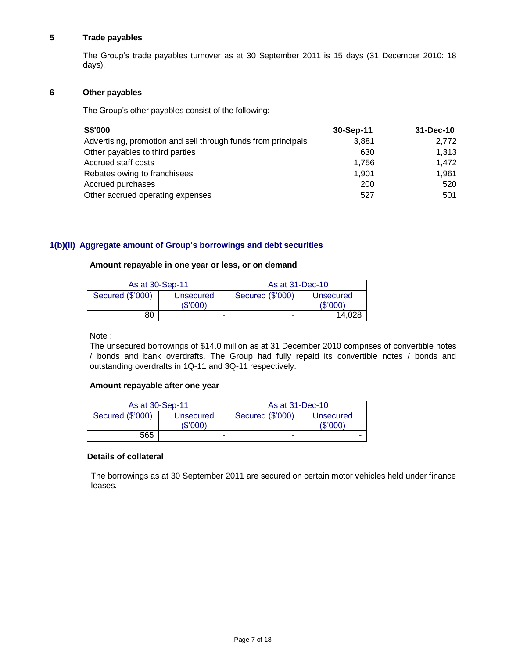# **5 Trade payables**

The Group's trade payables turnover as at 30 September 2011 is 15 days (31 December 2010: 18 days).

# **6 Other payables**

The Group's other payables consist of the following:

| S\$'000                                                       | 30-Sep-11 | 31-Dec-10 |
|---------------------------------------------------------------|-----------|-----------|
| Advertising, promotion and sell through funds from principals | 3,881     | 2,772     |
| Other payables to third parties                               | 630       | 1.313     |
| Accrued staff costs                                           | 1.756     | 1.472     |
| Rebates owing to franchisees                                  | 1.901     | 1.961     |
| Accrued purchases                                             | 200       | 520       |
| Other accrued operating expenses                              | 527       | 501       |

# **1(b)(ii) Aggregate amount of Group's borrowings and debt securities**

# **Amount repayable in one year or less, or on demand**

| As at 30-Sep-11  |                      | As at 31-Dec-10  |                      |  |
|------------------|----------------------|------------------|----------------------|--|
| Secured (\$'000) | Unsecured<br>(S'000) | Secured (\$'000) | Unsecured<br>(S'000) |  |
| 80               | -                    |                  | 14.028               |  |

# Note :

The unsecured borrowings of \$14.0 million as at 31 December 2010 comprises of convertible notes / bonds and bank overdrafts. The Group had fully repaid its convertible notes / bonds and outstanding overdrafts in 1Q-11 and 3Q-11 respectively.

# **Amount repayable after one year**

| As at 30-Sep-11  |                          | As at 31-Dec-10  |                      |
|------------------|--------------------------|------------------|----------------------|
| Secured (\$'000) | Unsecured<br>(\$'000)    | Secured (\$'000) | Unsecured<br>(S'000) |
| 565              | $\overline{\phantom{0}}$ | ۰                | -                    |

# **Details of collateral**

The borrowings as at 30 September 2011 are secured on certain motor vehicles held under finance leases.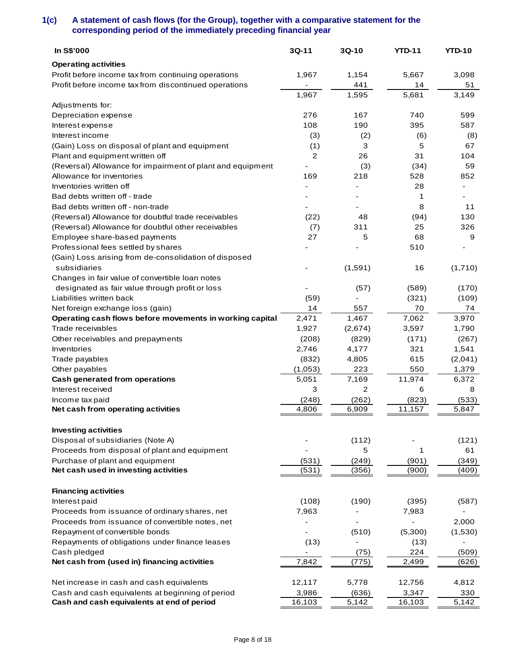# **1(c) A statement of cash flows (for the Group), together with a comparative statement for the corresponding period of the immediately preceding financial year**

| In S\$'000                                                 | $3Q-11$ | $3Q-10$ | <b>YTD-11</b>            | <b>YTD-10</b> |
|------------------------------------------------------------|---------|---------|--------------------------|---------------|
| <b>Operating activities</b>                                |         |         |                          |               |
| Profit before income tax from continuing operations        | 1,967   | 1,154   | 5,667                    | 3,098         |
| Profit before income tax from discontinued operations      |         | 441     | 14                       | 51            |
|                                                            | 1,967   | 1,595   | 5,681                    | 3,149         |
| Adjustments for:                                           |         |         |                          |               |
| Depreciation expense                                       | 276     | 167     | 740                      | 599           |
| Interest expense                                           | 108     | 190     | 395                      | 587           |
| Interest income                                            | (3)     | (2)     | (6)                      | (8)           |
| (Gain) Loss on disposal of plant and equipment             | (1)     | 3       | 5                        | 67            |
| Plant and equipment written off                            | 2       | 26      | 31                       | 104           |
| (Reversal) Allowance for impairment of plant and equipment |         | (3)     | (34)                     | 59            |
| Allowance for inventories                                  | 169     | 218     | 528                      | 852           |
| Inventories written off                                    |         | ٠       | 28                       |               |
| Bad debts written off - trade                              |         |         | 1                        |               |
| Bad debts written off - non-trade                          |         |         | 8                        | 11            |
| (Reversal) Allowance for doubtful trade receivables        | (22)    | 48      | (94)                     | 130           |
| (Reversal) Allowance for doubtful other receivables        | (7)     | 311     | 25                       | 326           |
| Employee share-based payments                              | 27      | 5       | 68                       | 9             |
| Professional fees settled by shares                        |         |         | 510                      |               |
| (Gain) Loss arising from de-consolidation of disposed      |         |         |                          |               |
| subsidiaries                                               |         | (1,591) | 16                       | (1,710)       |
| Changes in fair value of convertible loan notes            |         |         |                          |               |
| designated as fair value through profit or loss            |         | (57)    | (589)                    | (170)         |
| Liabilities written back                                   | (59)    |         | (321)                    | (109)         |
| Net foreign exchange loss (gain)                           | 14      | 557     | 70                       | 74            |
| Operating cash flows before movements in working capital   | 2,471   | 1,467   | 7,062                    | 3,970         |
| Trade receivables                                          | 1,927   | (2,674) | 3,597                    | 1,790         |
| Other receivables and prepayments                          | (208)   | (829)   | (171)                    | (267)         |
| Inventories                                                | 2,746   | 4,177   | 321                      | 1,541         |
| Trade payables                                             | (832)   | 4,805   | 615                      | (2,041)       |
| Other payables                                             | (1,053) | 223     | 550                      | 1,379         |
| Cash generated from operations                             | 5,051   | 7,169   | 11,974                   | 6,372         |
| Interest received                                          | 3       | 2       | 6                        | 8             |
| Income tax paid                                            | (248)   | (262)   | (823)                    | (533)         |
| Net cash from operating activities                         | 4,806   | 6,909   | 11,157                   | 5,847         |
|                                                            |         |         |                          |               |
| <b>Investing activities</b>                                |         |         |                          |               |
| Disposal of subsidiaries (Note A)                          |         | (112)   |                          | (121)         |
| Proceeds from disposal of plant and equipment              |         | 5       | 1                        | 61            |
| Purchase of plant and equipment                            | (531)   | (249)   | (901)                    | (349)         |
| Net cash used in investing activities                      | (531)   | (356)   | (900)                    | (409)         |
|                                                            |         |         |                          |               |
| <b>Financing activities</b>                                |         |         |                          |               |
| Interest paid                                              | (108)   | (190)   | (395)                    | (587)         |
| Proceeds from issuance of ordinary shares, net             | 7,963   |         | 7,983                    |               |
| Proceeds from issuance of convertible notes, net           |         |         | $\overline{\phantom{0}}$ | 2,000         |
| Repayment of convertible bonds                             |         | (510)   | (5,300)                  | (1,530)       |
| Repayments of obligations under finance leases             | (13)    |         | (13)                     |               |
| Cash pledged                                               |         | (75)    | 224                      | (509)         |
| Net cash from (used in) financing activities               | 7,842   | (775)   | 2,499                    | (626)         |
|                                                            |         |         |                          |               |
| Net increase in cash and cash equivalents                  | 12,117  | 5,778   | 12,756                   | 4,812         |
| Cash and cash equivalents at beginning of period           | 3,986   | (636)   | 3,347                    | 330           |
| Cash and cash equivalents at end of period                 | 16,103  | 5,142   | 16,103                   | 5,142         |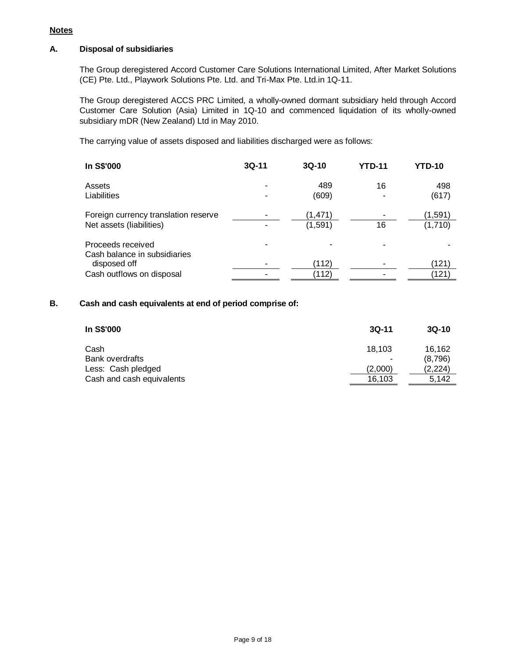# **A. Disposal of subsidiaries**

The Group deregistered Accord Customer Care Solutions International Limited, After Market Solutions (CE) Pte. Ltd., Playwork Solutions Pte. Ltd. and Tri-Max Pte. Ltd.in 1Q-11.

The Group deregistered ACCS PRC Limited, a wholly-owned dormant subsidiary held through Accord Customer Care Solution (Asia) Limited in 1Q-10 and commenced liquidation of its wholly-owned subsidiary mDR (New Zealand) Ltd in May 2010.

The carrying value of assets disposed and liabilities discharged were as follows:

| In S\$'000                           | $3Q-11$ | $3Q-10$ | <b>YTD-11</b> | <b>YTD-10</b> |
|--------------------------------------|---------|---------|---------------|---------------|
| Assets                               |         | 489     | 16            | 498           |
| Liabilities                          |         | (609)   |               | (617)         |
| Foreign currency translation reserve |         | (1,471) |               | (1,591)       |
| Net assets (liabilities)             |         | (1,591) | 16            | (1,710)       |
| Proceeds received                    |         |         |               |               |
| Cash balance in subsidiaries         |         |         |               |               |
| disposed off                         |         | (112)   |               | (121)         |
| Cash outflows on disposal            |         | (112)   |               | (121)         |

# **B. Cash and cash equivalents at end of period comprise of:**

| In S\$'000                | $3Q-11$ | $3Q-10$ |
|---------------------------|---------|---------|
| Cash                      | 18.103  | 16.162  |
| <b>Bank overdrafts</b>    |         | (8,796) |
| Less: Cash pledged        | (2,000) | (2,224) |
| Cash and cash equivalents | 16,103  | 5.142   |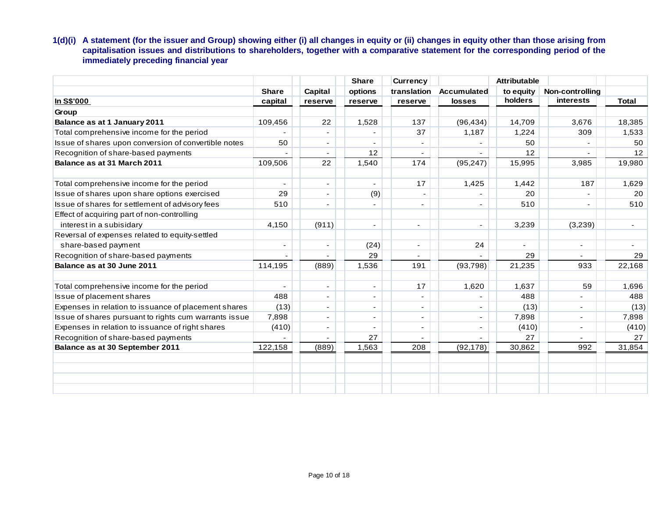**1(d)(i) A statement (for the issuer and Group) showing either (i) all changes in equity or (ii) changes in equity other than those arising from capitalisation issues and distributions to shareholders, together with a comparative statement for the corresponding period of the immediately preceding financial year**

|                                                       |              |                          | <b>Share</b>             | <b>Currency</b>          |                | <b>Attributable</b> |                          |              |
|-------------------------------------------------------|--------------|--------------------------|--------------------------|--------------------------|----------------|---------------------|--------------------------|--------------|
|                                                       | <b>Share</b> | Capital                  | options                  | translation              | Accumulated    | to equity           | Non-controlling          |              |
| In S\$'000                                            | capital      | reserve                  | reserve                  | reserve                  | <b>losses</b>  | holders             | <b>interests</b>         | <b>Total</b> |
| Group                                                 |              |                          |                          |                          |                |                     |                          |              |
| Balance as at 1 January 2011                          | 109,456      | 22                       | 1,528                    | 137                      | (96, 434)      | 14,709              | 3,676                    | 18,385       |
| Total comprehensive income for the period             |              | $\overline{\phantom{a}}$ |                          | 37                       | 1,187          | 1,224               | 309                      | 1,533        |
| Issue of shares upon conversion of convertible notes  | 50           | $\overline{\phantom{a}}$ | ٠                        | $\overline{\phantom{a}}$ |                | 50                  |                          | 50           |
| Recognition of share-based payments                   |              |                          | 12                       | ÷,                       |                | 12                  |                          | 12           |
| Balance as at 31 March 2011                           | 109,506      | 22                       | 1,540                    | 174                      | (95, 247)      | 15,995              | 3,985                    | 19,980       |
| Total comprehensive income for the period             |              | $\overline{\phantom{a}}$ | $\overline{\phantom{a}}$ | 17                       | 1,425          | 1,442               | 187                      | 1,629        |
| Issue of shares upon share options exercised          | 29           | $\blacksquare$           | (9)                      |                          |                | 20                  |                          | 20           |
| Issue of shares for settlement of advisory fees       | 510          |                          | $\overline{\phantom{a}}$ | $\overline{\phantom{a}}$ |                | 510                 |                          | 510          |
| Effect of acquiring part of non-controlling           |              |                          |                          |                          |                |                     |                          |              |
| interest in a subisidary                              | 4,150        | (911)                    | $\blacksquare$           | ٠                        | $\blacksquare$ | 3,239               | (3,239)                  | $\sim$       |
| Reversal of expenses related to equity-settled        |              |                          |                          |                          |                |                     |                          |              |
| share-based payment                                   | -            |                          | (24)                     | ٠                        | 24             |                     | ٠                        |              |
| Recognition of share-based payments                   |              |                          | 29                       |                          |                | 29                  | $\overline{a}$           | 29           |
| Balance as at 30 June 2011                            | 114,195      | (889)                    | 1,536                    | 191                      | (93, 798)      | 21,235              | 933                      | 22,168       |
| Total comprehensive income for the period             | ٠            | $\sim$                   | $\overline{\phantom{a}}$ | 17                       | 1,620          | 1,637               | 59                       | 1,696        |
| Issue of placement shares                             | 488          | $\overline{\phantom{a}}$ | $\overline{\phantom{a}}$ | $\overline{\phantom{a}}$ |                | 488                 | ٠                        | 488          |
| Expenses in relation to issuance of placement shares  | (13)         |                          | $\overline{\phantom{a}}$ | ۰                        |                | (13)                | $\overline{\phantom{a}}$ | (13)         |
| Issue of shares pursuant to rights cum warrants issue | 7,898        | $\blacksquare$           | ٠                        | ٠                        | $\overline{a}$ | 7,898               | ٠                        | 7,898        |
| Expenses in relation to issuance of right shares      | (410)        | $\overline{\phantom{a}}$ |                          | $\sim$                   | $\blacksquare$ | (410)               | $\overline{\phantom{a}}$ | (410)        |
| Recognition of share-based payments                   |              |                          | 27                       | ٠                        |                | 27                  |                          | 27           |
| Balance as at 30 September 2011                       | 122,158      | (889)                    | 1,563                    | 208                      | (92, 178)      | 30,862              | 992                      | 31,854       |
|                                                       |              |                          |                          |                          |                |                     |                          |              |
|                                                       |              |                          |                          |                          |                |                     |                          |              |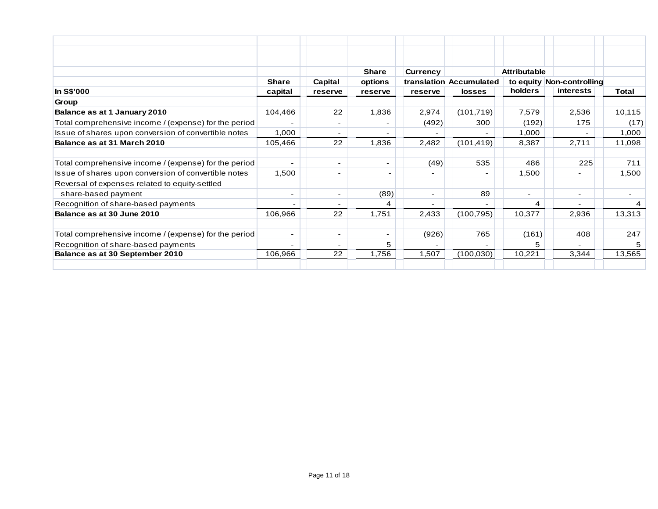|                                                       |                          |                          | <b>Share</b>             | <b>Currency</b>          |                         | <b>Attributable</b> |                           |        |
|-------------------------------------------------------|--------------------------|--------------------------|--------------------------|--------------------------|-------------------------|---------------------|---------------------------|--------|
|                                                       | <b>Share</b>             | Capital                  | options                  |                          | translation Accumulated |                     | to equity Non-controlling |        |
| In S\$'000                                            | capital                  | reserve                  | reserve                  | reserve                  | <b>losses</b>           | holders             | interests                 | Total  |
| Group                                                 |                          |                          |                          |                          |                         |                     |                           |        |
| Balance as at 1 January 2010                          | 104,466                  | 22                       | 1,836                    | 2,974                    | (101, 719)              | 7,579               | 2,536                     | 10,115 |
| Total comprehensive income / (expense) for the period |                          | $\overline{\phantom{a}}$ |                          | (492)                    | 300                     | (192)               | 175                       | (17)   |
| Issue of shares upon conversion of convertible notes  | 1,000                    | $\overline{\phantom{a}}$ | ٠                        |                          |                         | 1,000               |                           | 1,000  |
| Balance as at 31 March 2010                           | 105,466                  | 22                       | 1,836                    | 2,482                    | (101, 419)              | 8,387               | 2,711                     | 11,098 |
| Total comprehensive income / (expense) for the period |                          | $\overline{\phantom{a}}$ | ٠                        | (49)                     | 535                     | 486                 | 225                       | 711    |
| Issue of shares upon conversion of convertible notes  | 1,500                    | ٠                        | $\overline{\phantom{0}}$ |                          |                         | 1,500               |                           | 1,500  |
| Reversal of expenses related to equity-settled        |                          |                          |                          |                          |                         |                     |                           |        |
| share-based payment                                   | ۰                        | ۰                        | (89)                     | ۰.                       | 89                      | $\sim$              | $\overline{\phantom{a}}$  |        |
| Recognition of share-based payments                   | $\overline{\phantom{a}}$ | $\overline{\phantom{0}}$ | 4                        | $\overline{\phantom{0}}$ |                         | 4                   |                           |        |
| Balance as at 30 June 2010                            | 106,966                  | 22                       | 1,751                    | 2,433                    | (100, 795)              | 10,377              | 2,936                     | 13,313 |
| Total comprehensive income / (expense) for the period | ٠                        | $\overline{\phantom{a}}$ | Ξ.                       | (926)                    | 765                     | (161)               | 408                       | 247    |
| Recognition of share-based payments                   | ۰                        | $\overline{\phantom{a}}$ | 5.                       | $\blacksquare$           |                         | 5.                  |                           | 5      |
| Balance as at 30 September 2010                       | 106,966                  | 22                       | 1,756                    | 1,507                    | (100, 030)              | 10,221              | 3,344                     | 13,565 |
|                                                       |                          |                          |                          |                          |                         |                     |                           |        |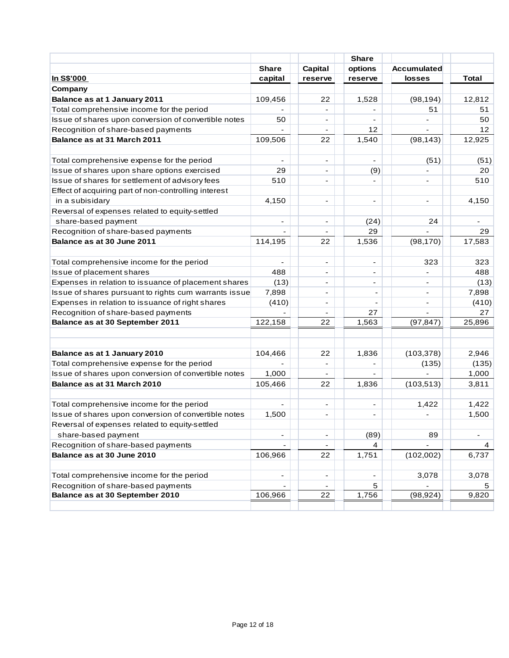|                                                       |                          |                          | <b>Share</b>             |                    |                 |
|-------------------------------------------------------|--------------------------|--------------------------|--------------------------|--------------------|-----------------|
|                                                       | <b>Share</b>             | Capital                  | options                  | <b>Accumulated</b> |                 |
| <u>In S\$'000</u>                                     | capital                  | reserve                  | reserve                  | losses             | <b>Total</b>    |
| Company                                               |                          |                          |                          |                    |                 |
| Balance as at 1 January 2011                          | 109,456                  | 22                       | 1,528                    | (98, 194)          | 12,812          |
| Total comprehensive income for the period             |                          |                          |                          | 51                 | 51              |
| Issue of shares upon conversion of convertible notes  | 50                       | $\overline{\phantom{a}}$ |                          |                    | 50              |
| Recognition of share-based payments                   |                          | $\overline{\phantom{a}}$ | 12                       |                    | 12 <sup>°</sup> |
| Balance as at 31 March 2011                           | 109,506                  | 22                       | 1,540                    | (98, 143)          | 12,925          |
|                                                       |                          |                          |                          |                    |                 |
| Total comprehensive expense for the period            |                          | $\overline{\phantom{a}}$ | $\sim$                   | (51)               | (51)            |
| Issue of shares upon share options exercised          | 29                       |                          | (9)                      |                    | 20              |
| Issue of shares for settlement of advisory fees       | 510                      |                          |                          |                    | 510             |
| Effect of acquiring part of non-controlling interest  |                          |                          |                          |                    |                 |
| in a subisidary                                       | 4,150                    |                          |                          |                    | 4,150           |
| Reversal of expenses related to equity-settled        |                          |                          |                          |                    |                 |
| share-based payment                                   |                          |                          | (24)                     | 24                 |                 |
| Recognition of share-based payments                   |                          |                          | 29                       |                    | 29              |
| Balance as at 30 June 2011                            | 114,195                  | 22                       | 1,536                    | (98, 170)          | 17,583          |
|                                                       |                          |                          |                          |                    |                 |
| Total comprehensive income for the period             |                          | $\blacksquare$           |                          | 323                | 323             |
| Issue of placement shares                             | 488                      | $\overline{\phantom{a}}$ | $\overline{\phantom{a}}$ |                    | 488             |
| Expenses in relation to issuance of placement shares  | (13)                     | $\overline{\phantom{a}}$ | $\blacksquare$           |                    | (13)            |
| Issue of shares pursuant to rights cum warrants issue | 7,898                    | $\overline{\phantom{a}}$ |                          |                    | 7,898           |
| Expenses in relation to issuance of right shares      | (410)                    | $\overline{\phantom{a}}$ |                          |                    | (410)           |
| Recognition of share-based payments                   |                          |                          | 27                       |                    | 27              |
| Balance as at 30 September 2011                       | 122,158                  | 22                       | 1,563                    | (97, 847)          | 25,896          |
|                                                       |                          |                          |                          |                    |                 |
|                                                       |                          |                          |                          |                    |                 |
| Balance as at 1 January 2010                          | 104,466                  | 22                       | 1,836                    | (103, 378)         | 2,946           |
| Total comprehensive expense for the period            |                          | $\overline{\phantom{a}}$ |                          | (135)              | (135)           |
| Issue of shares upon conversion of convertible notes  | 1,000                    | $\overline{\phantom{a}}$ | $\overline{\phantom{a}}$ |                    | 1,000           |
| Balance as at 31 March 2010                           | 105,466                  | 22                       | 1,836                    | (103, 513)         | 3,811           |
|                                                       |                          |                          |                          |                    |                 |
| Total comprehensive income for the period             | $\overline{\phantom{0}}$ | $\overline{\phantom{a}}$ | $\overline{\phantom{a}}$ | 1,422              | 1,422           |
| Issue of shares upon conversion of convertible notes  | 1,500                    | $\overline{\phantom{a}}$ |                          |                    | 1,500           |
| Reversal of expenses related to equity-settled        |                          |                          |                          |                    |                 |
| share-based payment                                   | $\overline{\phantom{0}}$ | $\overline{\phantom{a}}$ | (89)                     | 89                 |                 |
| Recognition of share-based payments                   |                          |                          | 4                        |                    | $\overline{4}$  |
| Balance as at 30 June 2010                            | 106,966                  | 22                       | 1,751                    | (102,002)          | 6,737           |
|                                                       |                          |                          |                          |                    |                 |
| Total comprehensive income for the period             |                          |                          |                          | 3,078              | 3,078           |
| Recognition of share-based payments                   |                          |                          | 5                        |                    | 5               |
| Balance as at 30 September 2010                       | 106,966                  | 22                       | 1,756                    | (98, 924)          | 9,820           |
|                                                       |                          |                          |                          |                    |                 |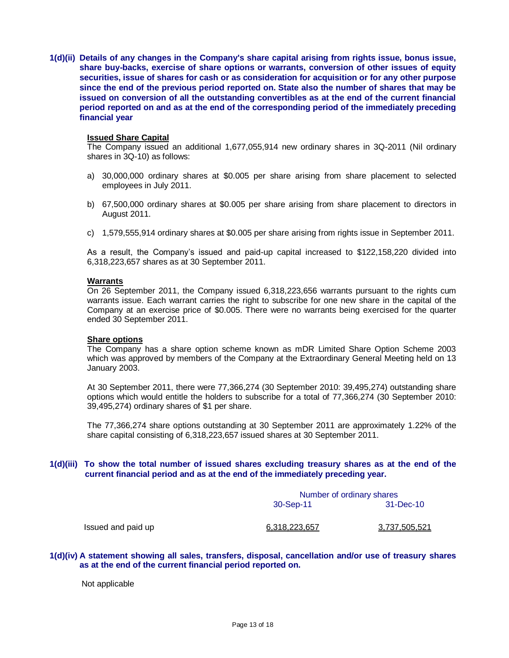**1(d)(ii) Details of any changes in the Company's share capital arising from rights issue, bonus issue, share buy-backs, exercise of share options or warrants, conversion of other issues of equity securities, issue of shares for cash or as consideration for acquisition or for any other purpose since the end of the previous period reported on. State also the number of shares that may be issued on conversion of all the outstanding convertibles as at the end of the current financial period reported on and as at the end of the corresponding period of the immediately preceding financial year**

## **Issued Share Capital**

The Company issued an additional 1,677,055,914 new ordinary shares in 3Q-2011 (Nil ordinary shares in 3Q-10) as follows:

- a) 30,000,000 ordinary shares at \$0.005 per share arising from share placement to selected employees in July 2011.
- b) 67,500,000 ordinary shares at \$0.005 per share arising from share placement to directors in August 2011.
- c) 1,579,555,914 ordinary shares at \$0.005 per share arising from rights issue in September 2011.

As a result, the Company's issued and paid-up capital increased to \$122,158,220 divided into 6,318,223,657 shares as at 30 September 2011.

#### **Warrants**

On 26 September 2011, the Company issued 6,318,223,656 warrants pursuant to the rights cum warrants issue. Each warrant carries the right to subscribe for one new share in the capital of the Company at an exercise price of \$0.005. There were no warrants being exercised for the quarter ended 30 September 2011.

#### **Share options**

The Company has a share option scheme known as mDR Limited Share Option Scheme 2003 which was approved by members of the Company at the Extraordinary General Meeting held on 13 January 2003.

At 30 September 2011, there were 77,366,274 (30 September 2010: 39,495,274) outstanding share options which would entitle the holders to subscribe for a total of 77,366,274 (30 September 2010: 39,495,274) ordinary shares of \$1 per share.

The 77,366,274 share options outstanding at 30 September 2011 are approximately 1.22% of the share capital consisting of 6,318,223,657 issued shares at 30 September 2011.

# **1(d)(iii) To show the total number of issued shares excluding treasury shares as at the end of the current financial period and as at the end of the immediately preceding year.**

|               | Number of ordinary shares |  |  |  |
|---------------|---------------------------|--|--|--|
| 30-Sep-11     | 31-Dec-10                 |  |  |  |
| 6,318,223,657 | <u>3,737,505,521</u>      |  |  |  |

**1(d)(iv) A statement showing all sales, transfers, disposal, cancellation and/or use of treasury shares as at the end of the current financial period reported on.**

Not applicable

Issued and paid up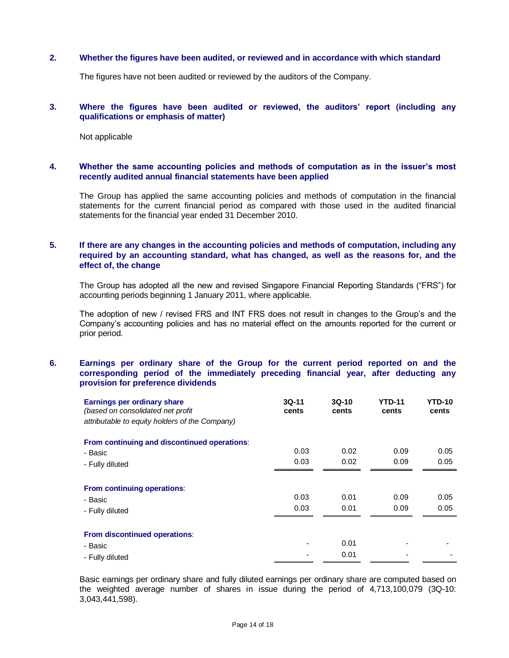### **2. Whether the figures have been audited, or reviewed and in accordance with which standard**

The figures have not been audited or reviewed by the auditors of the Company.

# **3. Where the figures have been audited or reviewed, the auditors' report (including any qualifications or emphasis of matter)**

Not applicable

## **4. Whether the same accounting policies and methods of computation as in the issuer's most recently audited annual financial statements have been applied**

The Group has applied the same accounting policies and methods of computation in the financial statements for the current financial period as compared with those used in the audited financial statements for the financial year ended 31 December 2010.

# **5. If there are any changes in the accounting policies and methods of computation, including any required by an accounting standard, what has changed, as well as the reasons for, and the effect of, the change**

The Group has adopted all the new and revised Singapore Financial Reporting Standards ("FRS") for accounting periods beginning 1 January 2011, where applicable.

The adoption of new / revised FRS and INT FRS does not result in changes to the Group's and the Company's accounting policies and has no material effect on the amounts reported for the current or prior period.

# **6. Earnings per ordinary share of the Group for the current period reported on and the corresponding period of the immediately preceding financial year, after deducting any provision for preference dividends**

| Earnings per ordinary share<br>(based on consolidated net profit<br>attributable to equity holders of the Company) | $3Q-11$<br>cents | $3Q-10$<br>cents | <b>YTD-11</b><br>cents | YTD-10<br>cents |
|--------------------------------------------------------------------------------------------------------------------|------------------|------------------|------------------------|-----------------|
| From continuing and discontinued operations:                                                                       |                  |                  |                        |                 |
| - Basic                                                                                                            | 0.03             | 0.02             | 0.09                   | 0.05            |
| - Fully diluted                                                                                                    | 0.03             | 0.02             | 0.09                   | 0.05            |
|                                                                                                                    |                  |                  |                        |                 |
| From continuing operations:                                                                                        |                  |                  |                        |                 |
| - Basic                                                                                                            | 0.03             | 0.01             | 0.09                   | 0.05            |
| - Fully diluted                                                                                                    | 0.03             | 0.01             | 0.09                   | 0.05            |
|                                                                                                                    |                  |                  |                        |                 |
| From discontinued operations:                                                                                      |                  |                  |                        |                 |
| - Basic                                                                                                            |                  | 0.01             |                        |                 |
| - Fully diluted                                                                                                    |                  | 0.01             |                        |                 |

Basic earnings per ordinary share and fully diluted earnings per ordinary share are computed based on the weighted average number of shares in issue during the period of 4,713,100,079 (3Q-10: 3,043,441,598).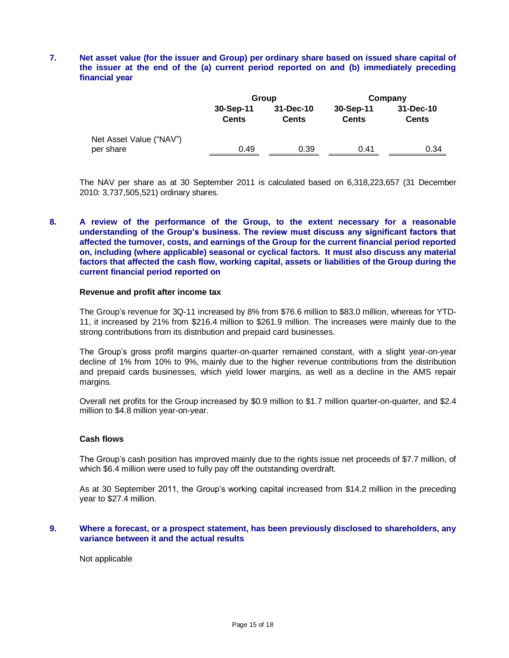# **7. Net asset value (for the issuer and Group) per ordinary share based on issued share capital of the issuer at the end of the (a) current period reported on and (b) immediately preceding financial year**

|                                      |                           | Group                     | Company                   |                           |  |
|--------------------------------------|---------------------------|---------------------------|---------------------------|---------------------------|--|
|                                      | 30-Sep-11<br><b>Cents</b> | 31-Dec-10<br><b>Cents</b> | 30-Sep-11<br><b>Cents</b> | 31-Dec-10<br><b>Cents</b> |  |
| Net Asset Value ("NAV")<br>per share | 0.49                      | 0.39                      | 0.41                      | 0.34                      |  |
|                                      |                           |                           |                           |                           |  |

The NAV per share as at 30 September 2011 is calculated based on 6,318,223,657 (31 December 2010: 3,737,505,521) ordinary shares.

# **8. A review of the performance of the Group, to the extent necessary for a reasonable understanding of the Group's business. The review must discuss any significant factors that affected the turnover, costs, and earnings of the Group for the current financial period reported on, including (where applicable) seasonal or cyclical factors. It must also discuss any material factors that affected the cash flow, working capital, assets or liabilities of the Group during the current financial period reported on**

#### **Revenue and profit after income tax**

The Group's revenue for 3Q-11 increased by 8% from \$76.6 million to \$83.0 million, whereas for YTD-11, it increased by 21% from \$216.4 million to \$261.9 million. The increases were mainly due to the strong contributions from its distribution and prepaid card businesses.

The Group's gross profit margins quarter-on-quarter remained constant, with a slight year-on-year decline of 1% from 10% to 9%, mainly due to the higher revenue contributions from the distribution and prepaid cards businesses, which yield lower margins, as well as a decline in the AMS repair margins.

Overall net profits for the Group increased by \$0.9 million to \$1.7 million quarter-on-quarter, and \$2.4 million to \$4.8 million year-on-year.

### **Cash flows**

The Group's cash position has improved mainly due to the rights issue net proceeds of \$7.7 million, of which \$6.4 million were used to fully pay off the outstanding overdraft.

As at 30 September 2011, the Group's working capital increased from \$14.2 million in the preceding year to \$27.4 million.

# **9. Where a forecast, or a prospect statement, has been previously disclosed to shareholders, any variance between it and the actual results**

Not applicable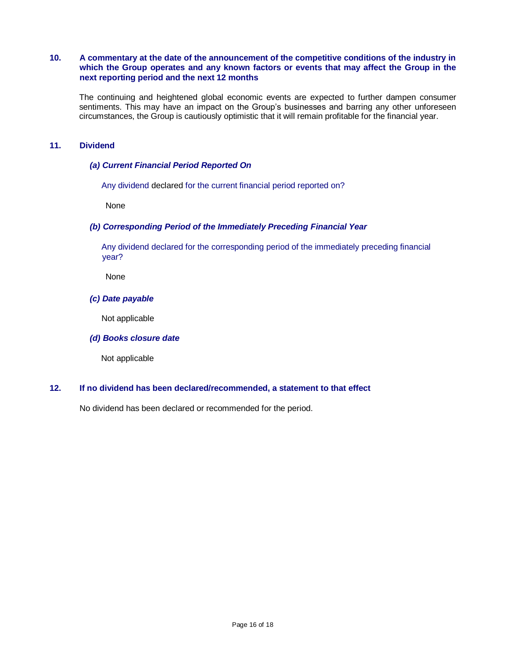# **10. A commentary at the date of the announcement of the competitive conditions of the industry in which the Group operates and any known factors or events that may affect the Group in the next reporting period and the next 12 months**

The continuing and heightened global economic events are expected to further dampen consumer sentiments. This may have an impact on the Group's businesses and barring any other unforeseen circumstances, the Group is cautiously optimistic that it will remain profitable for the financial year.

# **11. Dividend**

# *(a) Current Financial Period Reported On*

Any dividend declared for the current financial period reported on?

None

# *(b) Corresponding Period of the Immediately Preceding Financial Year*

 Any dividend declared for the corresponding period of the immediately preceding financial year?

None

#### *(c) Date payable*

Not applicable

# *(d) Books closure date*

Not applicable

# **12. If no dividend has been declared/recommended, a statement to that effect**

No dividend has been declared or recommended for the period.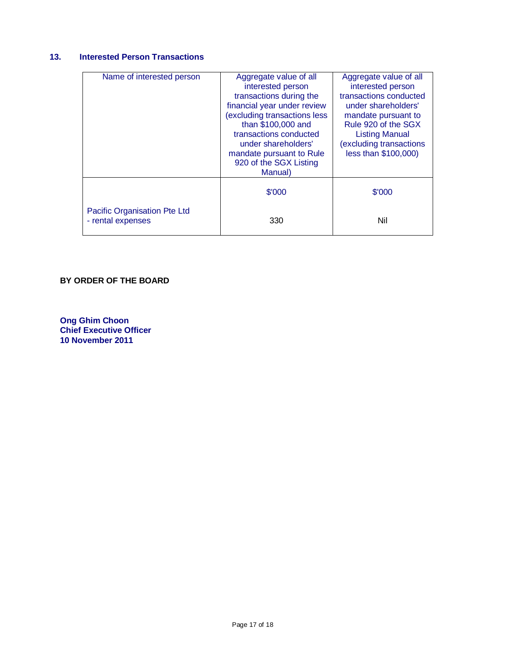# **13. Interested Person Transactions**

| Name of interested person                         | Aggregate value of all<br>interested person<br>transactions during the<br>financial year under review<br>(excluding transactions less<br>than \$100,000 and<br>transactions conducted<br>under shareholders'<br>mandate pursuant to Rule<br>920 of the SGX Listing<br>Manual) | Aggregate value of all<br>interested person<br>transactions conducted<br>under shareholders'<br>mandate pursuant to<br>Rule 920 of the SGX<br><b>Listing Manual</b><br>(excluding transactions<br>less than \$100,000) |
|---------------------------------------------------|-------------------------------------------------------------------------------------------------------------------------------------------------------------------------------------------------------------------------------------------------------------------------------|------------------------------------------------------------------------------------------------------------------------------------------------------------------------------------------------------------------------|
|                                                   | \$'000                                                                                                                                                                                                                                                                        | \$'000                                                                                                                                                                                                                 |
| Pacific Organisation Pte Ltd<br>- rental expenses | 330                                                                                                                                                                                                                                                                           | Nil                                                                                                                                                                                                                    |

# **BY ORDER OF THE BOARD**

**Ong Ghim Choon Chief Executive Officer 10 November 2011**